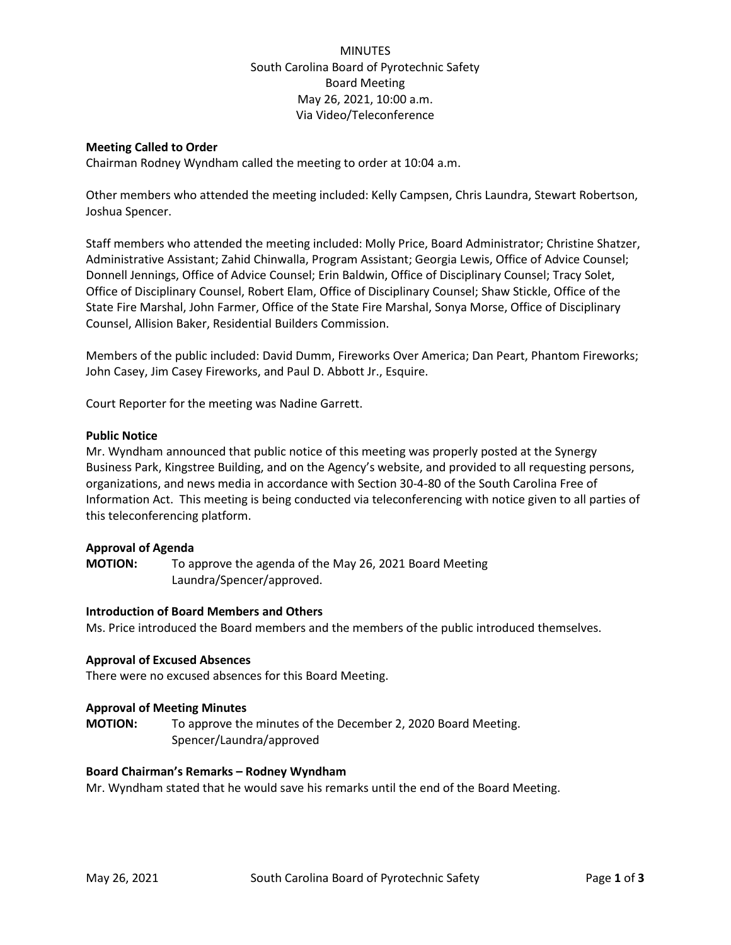# **MINUTES** South Carolina Board of Pyrotechnic Safety Board Meeting May 26, 2021, 10:00 a.m. Via Video/Teleconference

# **Meeting Called to Order**

Chairman Rodney Wyndham called the meeting to order at 10:04 a.m.

Other members who attended the meeting included: Kelly Campsen, Chris Laundra, Stewart Robertson, Joshua Spencer.

Staff members who attended the meeting included: Molly Price, Board Administrator; Christine Shatzer, Administrative Assistant; Zahid Chinwalla, Program Assistant; Georgia Lewis, Office of Advice Counsel; Donnell Jennings, Office of Advice Counsel; Erin Baldwin, Office of Disciplinary Counsel; Tracy Solet, Office of Disciplinary Counsel, Robert Elam, Office of Disciplinary Counsel; Shaw Stickle, Office of the State Fire Marshal, John Farmer, Office of the State Fire Marshal, Sonya Morse, Office of Disciplinary Counsel, Allision Baker, Residential Builders Commission.

Members of the public included: David Dumm, Fireworks Over America; Dan Peart, Phantom Fireworks; John Casey, Jim Casey Fireworks, and Paul D. Abbott Jr., Esquire.

Court Reporter for the meeting was Nadine Garrett.

# **Public Notice**

Mr. Wyndham announced that public notice of this meeting was properly posted at the Synergy Business Park, Kingstree Building, and on the Agency's website, and provided to all requesting persons, organizations, and news media in accordance with Section 30-4-80 of the South Carolina Free of Information Act. This meeting is being conducted via teleconferencing with notice given to all parties of this teleconferencing platform.

# **Approval of Agenda**

**MOTION:** To approve the agenda of the May 26, 2021 Board Meeting Laundra/Spencer/approved.

# **Introduction of Board Members and Others**

Ms. Price introduced the Board members and the members of the public introduced themselves.

# **Approval of Excused Absences**

There were no excused absences for this Board Meeting.

# **Approval of Meeting Minutes**

**MOTION:** To approve the minutes of the December 2, 2020 Board Meeting. Spencer/Laundra/approved

# **Board Chairman's Remarks – Rodney Wyndham**

Mr. Wyndham stated that he would save his remarks until the end of the Board Meeting.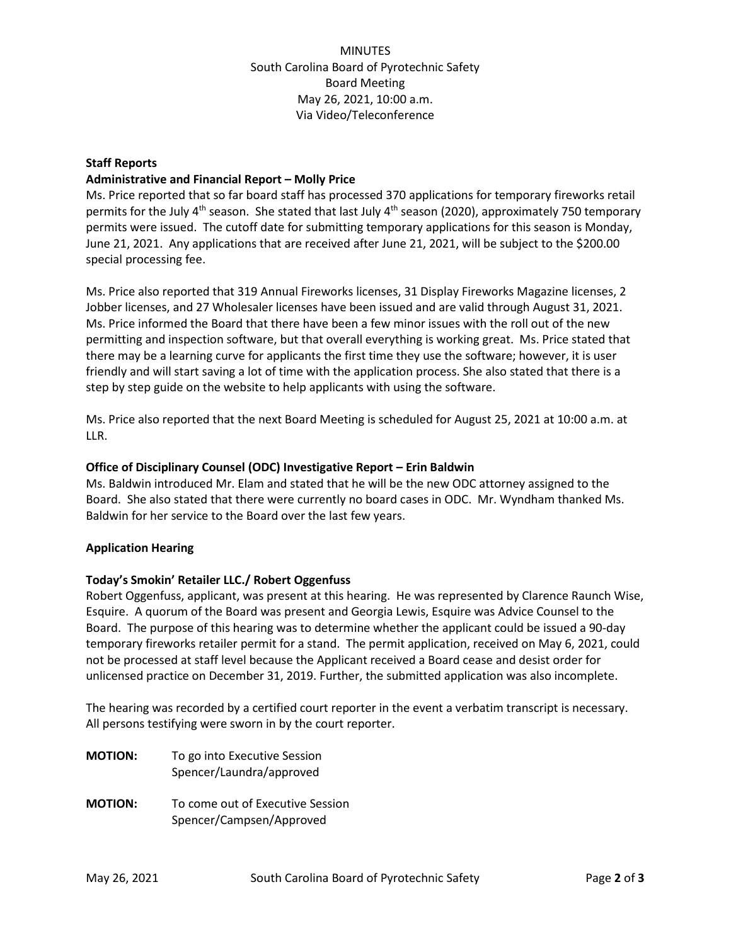**MINUTES** South Carolina Board of Pyrotechnic Safety Board Meeting May 26, 2021, 10:00 a.m. Via Video/Teleconference

# **Staff Reports**

# **Administrative and Financial Report – Molly Price**

Ms. Price reported that so far board staff has processed 370 applications for temporary fireworks retail permits for the July 4<sup>th</sup> season. She stated that last July 4<sup>th</sup> season (2020), approximately 750 temporary permits were issued. The cutoff date for submitting temporary applications for this season is Monday, June 21, 2021. Any applications that are received after June 21, 2021, will be subject to the \$200.00 special processing fee.

Ms. Price also reported that 319 Annual Fireworks licenses, 31 Display Fireworks Magazine licenses, 2 Jobber licenses, and 27 Wholesaler licenses have been issued and are valid through August 31, 2021. Ms. Price informed the Board that there have been a few minor issues with the roll out of the new permitting and inspection software, but that overall everything is working great. Ms. Price stated that there may be a learning curve for applicants the first time they use the software; however, it is user friendly and will start saving a lot of time with the application process. She also stated that there is a step by step guide on the website to help applicants with using the software.

Ms. Price also reported that the next Board Meeting is scheduled for August 25, 2021 at 10:00 a.m. at LLR.

# **Office of Disciplinary Counsel (ODC) Investigative Report – Erin Baldwin**

Ms. Baldwin introduced Mr. Elam and stated that he will be the new ODC attorney assigned to the Board. She also stated that there were currently no board cases in ODC. Mr. Wyndham thanked Ms. Baldwin for her service to the Board over the last few years.

# **Application Hearing**

# **Today's Smokin' Retailer LLC./ Robert Oggenfuss**

Robert Oggenfuss, applicant, was present at this hearing. He was represented by Clarence Raunch Wise, Esquire. A quorum of the Board was present and Georgia Lewis, Esquire was Advice Counsel to the Board. The purpose of this hearing was to determine whether the applicant could be issued a 90-day temporary fireworks retailer permit for a stand. The permit application, received on May 6, 2021, could not be processed at staff level because the Applicant received a Board cease and desist order for unlicensed practice on December 31, 2019. Further, the submitted application was also incomplete.

The hearing was recorded by a certified court reporter in the event a verbatim transcript is necessary. All persons testifying were sworn in by the court reporter.

**MOTION:** To go into Executive Session Spencer/Laundra/approved **MOTION:** To come out of Executive Session Spencer/Campsen/Approved